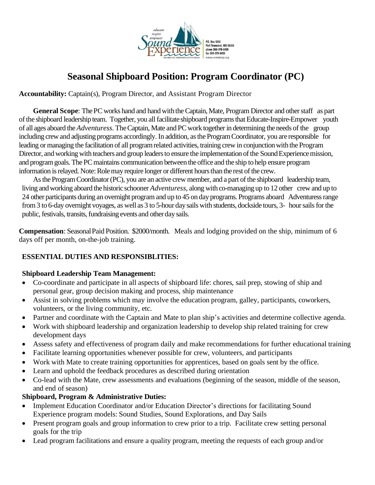

# **Seasonal Shipboard Position: Program Coordinator (PC)**

**Accountability:** Captain(s), Program Director, and Assistant Program Director

**General Scope:** The PC works hand and hand with the Captain, Mate, Program Director and other staff as part of the shipboard leadership team. Together, you all facilitate shipboard programs that Educate-Inspire-Empower youth of all ages aboard the *Adventuress*. TheCaptain, Mate and PCwork together in determining the needs of the group including crew and adjusting programs accordingly. In addition, as the Program Coordinator, you are responsible for leading or managing the facilitation of all program related activities, training crew in conjunction with the Program Director, and working with teachers and group leaders to ensure the implementation of the Sound Experience mission, and program goals. The PC maintains communication between the office and the ship to help ensure program information is relayed. Note: Role may require longer or different hours than the rest of the crew.

As the Program Coordinator (PC), you are an active crew member, and a part of the shipboard leadership team, living and working aboard the historic schooner *Adventuress*, along with co-managing up to 12 other crew and up to 24 other participants during an overnight program and up to 45 on day programs. Programs aboard Adventuress range from 3 to 6-day overnight voyages, as well as 3 to 5-hour day sails with students, dockside tours, 3- hour sails for the public, festivals, transits, fundraising events and other day sails.

**Compensation**: SeasonalPaid Position. \$2000/month. Meals and lodging provided on the ship, minimum of 6 days off per month, on-the-job training.

# **ESSENTIAL DUTIES AND RESPONSIBLITIES:**

## **Shipboard Leadership Team Management:**

- Co-coordinate and participate in all aspects of shipboard life: chores, sail prep, stowing of ship and personal gear, group decision making and process, ship maintenance
- Assist in solving problems which may involve the education program, galley, participants, coworkers, volunteers, or the living community, etc.
- Partner and coordinate with the Captain and Mate to plan ship's activities and determine collective agenda.
- Work with shipboard leadership and organization leadership to develop ship related training for crew development days
- Assess safety and effectiveness of program daily and make recommendations for further educational training
- Facilitate learning opportunities whenever possible for crew, volunteers, and participants
- Work with Mate to create training opportunities for apprentices, based on goals sent by the office.
- Learn and uphold the feedback procedures as described during orientation
- Co-lead with the Mate, crew assessments and evaluations (beginning of the season, middle of the season, and end of season)

## **Shipboard, Program & Administrative Duties:**

- Implement Education Coordinator and/or Education Director's directions for facilitating Sound Experience program models: Sound Studies, Sound Explorations, and Day Sails
- Present program goals and group information to crew prior to a trip. Facilitate crew setting personal goals for the trip
- Lead program facilitations and ensure a quality program, meeting the requests of each group and/or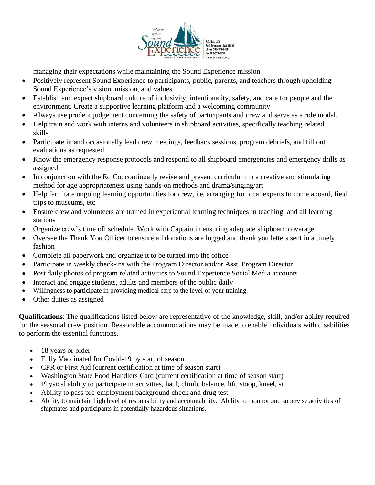

managing their expectations while maintaining the Sound Experience mission

- Positively represent Sound Experience to participants, public, parents, and teachers through upholding Sound Experience's vision, mission, and values
- Establish and expect shipboard culture of inclusivity, intentionality, safety, and care for people and the environment. Create a supportive learning platform and a welcoming community
- Always use prudent judgement concerning the safety of participants and crew and serve as a role model.
- Help train and work with interns and volunteers in shipboard activities, specifically teaching related skills
- Participate in and occasionally lead crew meetings, feedback sessions, program debriefs, and fill out evaluations as requested
- Know the emergency response protocols and respond to all shipboard emergencies and emergency drills as assigned
- In conjunction with the Ed Co, continually revise and present curriculum in a creative and stimulating method for age appropriateness using hands-on methods and drama/singing/art
- Help facilitate ongoing learning opportunities for crew, i.e. arranging for local experts to come aboard, field trips to museums, etc
- Ensure crew and volunteers are trained in experiential learning techniques in teaching, and all learning stations
- Organize crew's time off schedule. Work with Captain in ensuring adequate shipboard coverage
- Oversee the Thank You Officer to ensure all donations are logged and thank you letters sent in a timely fashion
- Complete all paperwork and organize it to be turned into the office
- Participate in weekly check-ins with the Program Director and/or Asst. Program Director
- Post daily photos of program related activities to Sound Experience Social Media accounts
- Interact and engage students, adults and members of the public daily
- Willingness to participate in providing medical care to the level of your training.
- Other duties as assigned

**Qualifications**: The qualifications listed below are representative of the knowledge, skill, and/or ability required for the seasonal crew position. Reasonable accommodations may be made to enable individuals with disabilities to perform the essential functions.

- 18 years or older
- Fully Vaccinated for Covid-19 by start of season
- CPR or First Aid (current certification at time of season start)
- Washington State Food Handlers Card (current certification at time of season start)
- Physical ability to participate in activities, haul, climb, balance, lift, stoop, kneel, sit
- Ability to pass pre-employment background check and drug test
- Ability to maintain high level of responsibility and accountability. Ability to monitor and supervise activities of shipmates and participants in potentially hazardous situations.